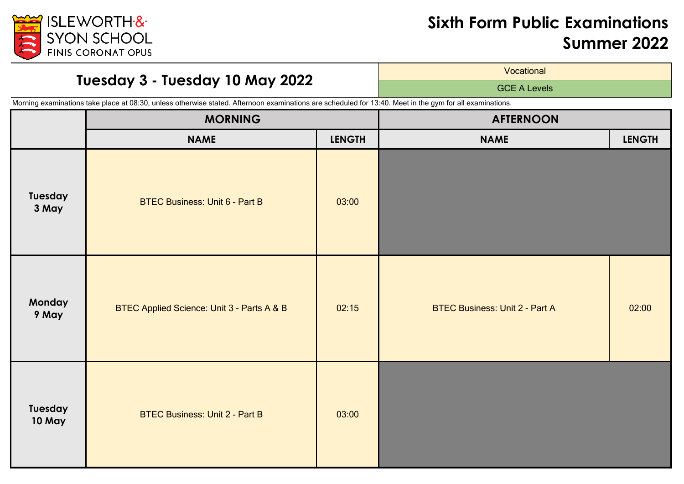

# **Tuesday 3 - Tuesday 10 May 2022**

**Vocational** 

GCE A Levels

|                          | <b>MORNING</b>                             |               | <b>AFTERNOON</b>                      |               |
|--------------------------|--------------------------------------------|---------------|---------------------------------------|---------------|
|                          | <b>NAME</b>                                | <b>LENGTH</b> | <b>NAME</b>                           | <b>LENGTH</b> |
| Tuesday<br>3 May         | <b>BTEC Business: Unit 6 - Part B</b>      | 03:00         |                                       |               |
| Monday<br>9 May          | BTEC Applied Science: Unit 3 - Parts A & B | 02:15         | <b>BTEC Business: Unit 2 - Part A</b> | 02:00         |
| Tuesday<br><b>10 May</b> | <b>BTEC Business: Unit 2 - Part B</b>      | 03:00         |                                       |               |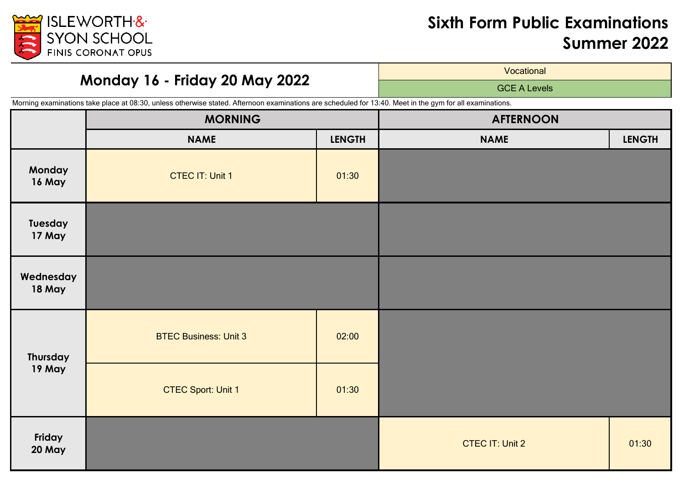

## **Monday 16 - Friday 20 May 2022**

**Vocational** 

GCE A Levels

|                     | <b>MORNING</b>               |               | <b>AFTERNOON</b>       |               |
|---------------------|------------------------------|---------------|------------------------|---------------|
|                     | <b>NAME</b>                  | <b>LENGTH</b> | <b>NAME</b>            | <b>LENGTH</b> |
| Monday<br>16 May    | <b>CTEC IT: Unit 1</b>       | 01:30         |                        |               |
| Tuesday<br>17 May   |                              |               |                        |               |
| Wednesday<br>18 May |                              |               |                        |               |
| Thursday<br>19 May  | <b>BTEC Business: Unit 3</b> | 02:00         |                        |               |
|                     | <b>CTEC Sport: Unit 1</b>    | 01:30         |                        |               |
| Friday<br>20 May    |                              |               | <b>CTEC IT: Unit 2</b> | 01:30         |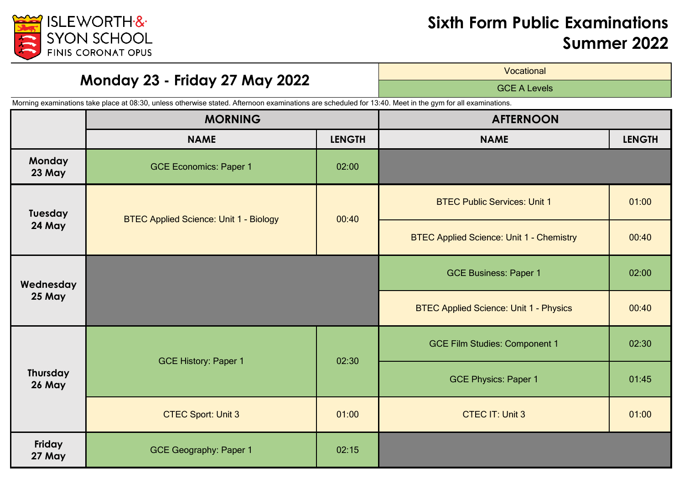

## **Monday 23 - Friday 27 May 2022**

**Vocational** 

GCE A Levels

|                           | <b>MORNING</b>                                |               | <b>AFTERNOON</b>                                |               |
|---------------------------|-----------------------------------------------|---------------|-------------------------------------------------|---------------|
|                           | <b>NAME</b>                                   | <b>LENGTH</b> | <b>NAME</b>                                     | <b>LENGTH</b> |
| <b>Monday</b><br>23 May   | <b>GCE Economics: Paper 1</b>                 | 02:00         |                                                 |               |
| Tuesday<br>24 May         | <b>BTEC Applied Science: Unit 1 - Biology</b> | 00:40         | <b>BTEC Public Services: Unit 1</b>             | 01:00         |
|                           |                                               |               | <b>BTEC Applied Science: Unit 1 - Chemistry</b> | 00:40         |
| Wednesday<br>25 May       |                                               |               | <b>GCE Business: Paper 1</b>                    | 02:00         |
|                           |                                               |               | <b>BTEC Applied Science: Unit 1 - Physics</b>   | 00:40         |
| <b>Thursday</b><br>26 May | <b>GCE History: Paper 1</b>                   | 02:30         | <b>GCE Film Studies: Component 1</b>            | 02:30         |
|                           |                                               |               | <b>GCE Physics: Paper 1</b>                     | 01:45         |
|                           | <b>CTEC Sport: Unit 3</b>                     | 01:00         | <b>CTEC IT: Unit 3</b>                          | 01:00         |
| Friday<br>27 May          | <b>GCE Geography: Paper 1</b>                 | 02:15         |                                                 |               |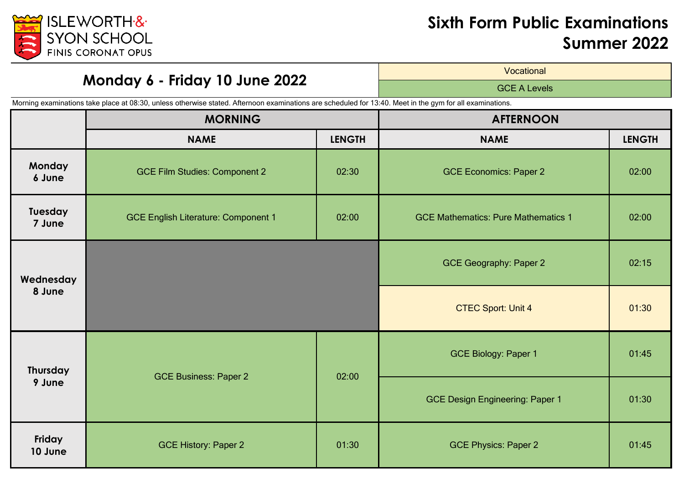

# **Monday 6 - Friday 10 June 2022**

**Vocational** 

GCE A Levels

|                           | <b>MORNING</b>                             |               | <b>AFTERNOON</b>                           |               |
|---------------------------|--------------------------------------------|---------------|--------------------------------------------|---------------|
|                           | <b>NAME</b>                                | <b>LENGTH</b> | <b>NAME</b>                                | <b>LENGTH</b> |
| <b>Monday</b><br>6 June   | <b>GCE Film Studies: Component 2</b>       | 02:30         | <b>GCE Economics: Paper 2</b>              | 02:00         |
| Tuesday<br>7 June         | <b>GCE English Literature: Component 1</b> | 02:00         | <b>GCE Mathematics: Pure Mathematics 1</b> | 02:00         |
| Wednesday<br>8 June       |                                            |               | <b>GCE Geography: Paper 2</b>              | 02:15         |
|                           |                                            |               | <b>CTEC Sport: Unit 4</b>                  | 01:30         |
| <b>Thursday</b><br>9 June | <b>GCE Business: Paper 2</b>               | 02:00         | <b>GCE Biology: Paper 1</b>                | 01:45         |
|                           |                                            |               | <b>GCE Design Engineering: Paper 1</b>     | 01:30         |
| Friday<br>10 June         | <b>GCE History: Paper 2</b>                | 01:30         | <b>GCE Physics: Paper 2</b>                | 01:45         |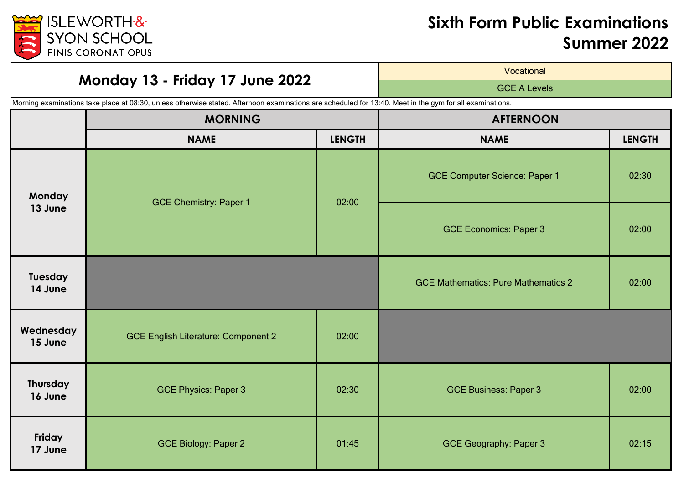

# **Monday 13 - Friday 17 June 2022**

**Vocational** 

GCE A Levels

|                            | <b>MORNING</b>                             |               | <b>AFTERNOON</b>                           |               |
|----------------------------|--------------------------------------------|---------------|--------------------------------------------|---------------|
|                            | <b>NAME</b>                                | <b>LENGTH</b> | <b>NAME</b>                                | <b>LENGTH</b> |
| <b>Monday</b><br>13 June   | <b>GCE Chemistry: Paper 1</b>              | 02:00         | <b>GCE Computer Science: Paper 1</b>       | 02:30         |
|                            |                                            |               | <b>GCE Economics: Paper 3</b>              | 02:00         |
| Tuesday<br>14 June         |                                            |               | <b>GCE Mathematics: Pure Mathematics 2</b> | 02:00         |
| Wednesday<br>15 June       | <b>GCE English Literature: Component 2</b> | 02:00         |                                            |               |
| <b>Thursday</b><br>16 June | <b>GCE Physics: Paper 3</b>                | 02:30         | <b>GCE Business: Paper 3</b>               | 02:00         |
| Friday<br>17 June          | <b>GCE Biology: Paper 2</b>                | 01:45         | <b>GCE Geography: Paper 3</b>              | 02:15         |